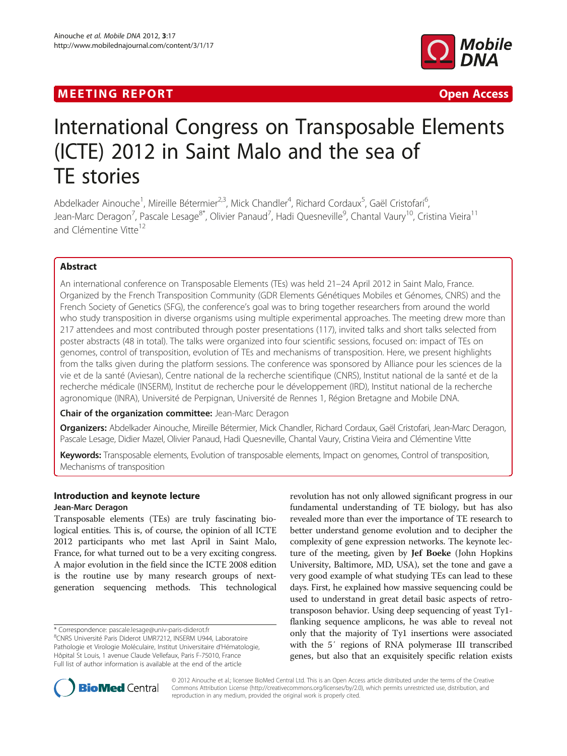# **MEETING REPORT CONSUMING ACCESS**



# International Congress on Transposable Elements (ICTE) 2012 in Saint Malo and the sea of TE stories

Abdelkader Ainouche<sup>1</sup>, Mireille Bétermier<sup>2,3</sup>, Mick Chandler<sup>4</sup>, Richard Cordaux<sup>5</sup>, Gaël Cristofari<sup>6</sup> , Jean-Marc Deragon<sup>7</sup>, Pascale Lesage<sup>8\*</sup>, Olivier Panaud<sup>7</sup>, Hadi Quesneville<sup>9</sup>, Chantal Vaury<sup>10</sup>, Cristina Vieira<sup>11</sup> and Clémentine Vitte<sup>12</sup>

# Abstract

An international conference on Transposable Elements (TEs) was held 21–24 April 2012 in Saint Malo, France. Organized by the French Transposition Community (GDR Elements Génétiques Mobiles et Génomes, CNRS) and the French Society of Genetics (SFG), the conference's goal was to bring together researchers from around the world who study transposition in diverse organisms using multiple experimental approaches. The meeting drew more than 217 attendees and most contributed through poster presentations (117), invited talks and short talks selected from poster abstracts (48 in total). The talks were organized into four scientific sessions, focused on: impact of TEs on genomes, control of transposition, evolution of TEs and mechanisms of transposition. Here, we present highlights from the talks given during the platform sessions. The conference was sponsored by Alliance pour les sciences de la vie et de la santé (Aviesan), Centre national de la recherche scientifique (CNRS), Institut national de la santé et de la recherche médicale (INSERM), Institut de recherche pour le développement (IRD), Institut national de la recherche agronomique (INRA), Université de Perpignan, Université de Rennes 1, Région Bretagne and Mobile DNA.

Chair of the organization committee: Jean-Marc Deragon

Organizers: Abdelkader Ainouche, Mireille Bétermier, Mick Chandler, Richard Cordaux, Gaël Cristofari, Jean-Marc Deragon, Pascale Lesage, Didier Mazel, Olivier Panaud, Hadi Quesneville, Chantal Vaury, Cristina Vieira and Clémentine Vitte

Keywords: Transposable elements, Evolution of transposable elements, Impact on genomes, Control of transposition, Mechanisms of transposition

# Introduction and keynote lecture

## Jean-Marc Deragon

Transposable elements (TEs) are truly fascinating biological entities. This is, of course, the opinion of all ICTE 2012 participants who met last April in Saint Malo, France, for what turned out to be a very exciting congress. A major evolution in the field since the ICTE 2008 edition is the routine use by many research groups of nextgeneration sequencing methods. This technological

\* Correspondence: [pascale.lesage@univ-paris-diderot.fr](mailto:pascale.lesage@univ--ris-diderot.fr) <sup>8</sup>

revolution has not only allowed significant progress in our fundamental understanding of TE biology, but has also revealed more than ever the importance of TE research to better understand genome evolution and to decipher the complexity of gene expression networks. The keynote lecture of the meeting, given by Jef Boeke (John Hopkins University, Baltimore, MD, USA), set the tone and gave a very good example of what studying TEs can lead to these days. First, he explained how massive sequencing could be used to understand in great detail basic aspects of retrotransposon behavior. Using deep sequencing of yeast Ty1 flanking sequence amplicons, he was able to reveal not only that the majority of Ty1 insertions were associated with the 5′ regions of RNA polymerase III transcribed genes, but also that an exquisitely specific relation exists



© 2012 Ainouche et al.; licensee BioMed Central Ltd. This is an Open Access article distributed under the terms of the Creative Commons Attribution License [\(http://creativecommons.org/licenses/by/2.0\)](http://creativecommons.org/licenses/by/2.0), which permits unrestricted use, distribution, and reproduction in any medium, provided the original work is properly cited.

<sup>&</sup>lt;sup>8</sup>CNRS Université Paris Diderot UMR7212, INSERM U944, Laboratoire Pathologie et Virologie Moléculaire, Institut Universitaire d'Hématologie, Hôpital St Louis, 1 avenue Claude Vellefaux, Paris F-75010, France Full list of author information is available at the end of the article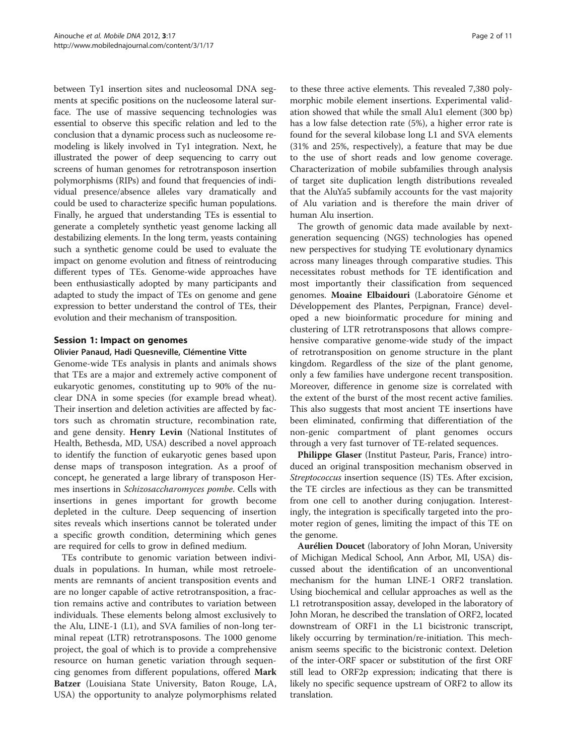between Ty1 insertion sites and nucleosomal DNA segments at specific positions on the nucleosome lateral surface. The use of massive sequencing technologies was essential to observe this specific relation and led to the conclusion that a dynamic process such as nucleosome remodeling is likely involved in Ty1 integration. Next, he illustrated the power of deep sequencing to carry out screens of human genomes for retrotransposon insertion polymorphisms (RIPs) and found that frequencies of individual presence/absence alleles vary dramatically and could be used to characterize specific human populations. Finally, he argued that understanding TEs is essential to generate a completely synthetic yeast genome lacking all destabilizing elements. In the long term, yeasts containing such a synthetic genome could be used to evaluate the impact on genome evolution and fitness of reintroducing different types of TEs. Genome-wide approaches have been enthusiastically adopted by many participants and adapted to study the impact of TEs on genome and gene expression to better understand the control of TEs, their evolution and their mechanism of transposition.

## Session 1: Impact on genomes

#### Olivier Panaud, Hadi Quesneville, Clémentine Vitte

Genome-wide TEs analysis in plants and animals shows that TEs are a major and extremely active component of eukaryotic genomes, constituting up to 90% of the nuclear DNA in some species (for example bread wheat). Their insertion and deletion activities are affected by factors such as chromatin structure, recombination rate, and gene density. Henry Levin (National Institutes of Health, Bethesda, MD, USA) described a novel approach to identify the function of eukaryotic genes based upon dense maps of transposon integration. As a proof of concept, he generated a large library of transposon Hermes insertions in Schizosaccharomyces pombe. Cells with insertions in genes important for growth become depleted in the culture. Deep sequencing of insertion sites reveals which insertions cannot be tolerated under a specific growth condition, determining which genes are required for cells to grow in defined medium.

TEs contribute to genomic variation between individuals in populations. In human, while most retroelements are remnants of ancient transposition events and are no longer capable of active retrotransposition, a fraction remains active and contributes to variation between individuals. These elements belong almost exclusively to the Alu, LINE-1 (L1), and SVA families of non-long terminal repeat (LTR) retrotransposons. The 1000 genome project, the goal of which is to provide a comprehensive resource on human genetic variation through sequencing genomes from different populations, offered Mark Batzer (Louisiana State University, Baton Rouge, LA, USA) the opportunity to analyze polymorphisms related

to these three active elements. This revealed 7,380 polymorphic mobile element insertions. Experimental validation showed that while the small Alu1 element (300 bp) has a low false detection rate (5%), a higher error rate is found for the several kilobase long L1 and SVA elements (31% and 25%, respectively), a feature that may be due to the use of short reads and low genome coverage. Characterization of mobile subfamilies through analysis of target site duplication length distributions revealed that the AluYa5 subfamily accounts for the vast majority of Alu variation and is therefore the main driver of human Alu insertion.

The growth of genomic data made available by nextgeneration sequencing (NGS) technologies has opened new perspectives for studying TE evolutionary dynamics across many lineages through comparative studies. This necessitates robust methods for TE identification and most importantly their classification from sequenced genomes. Moaine Elbaidouri (Laboratoire Génome et Développement des Plantes, Perpignan, France) developed a new bioinformatic procedure for mining and clustering of LTR retrotransposons that allows comprehensive comparative genome-wide study of the impact of retrotransposition on genome structure in the plant kingdom. Regardless of the size of the plant genome, only a few families have undergone recent transposition. Moreover, difference in genome size is correlated with the extent of the burst of the most recent active families. This also suggests that most ancient TE insertions have been eliminated, confirming that differentiation of the non-genic compartment of plant genomes occurs through a very fast turnover of TE-related sequences.

Philippe Glaser (Institut Pasteur, Paris, France) introduced an original transposition mechanism observed in Streptococcus insertion sequence (IS) TEs. After excision, the TE circles are infectious as they can be transmitted from one cell to another during conjugation. Interestingly, the integration is specifically targeted into the promoter region of genes, limiting the impact of this TE on the genome.

Aurélien Doucet (laboratory of John Moran, University of Michigan Medical School, Ann Arbor, MI, USA) discussed about the identification of an unconventional mechanism for the human LINE-1 ORF2 translation. Using biochemical and cellular approaches as well as the L1 retrotransposition assay, developed in the laboratory of John Moran, he described the translation of ORF2, located downstream of ORF1 in the L1 bicistronic transcript, likely occurring by termination/re-initiation. This mechanism seems specific to the bicistronic context. Deletion of the inter-ORF spacer or substitution of the first ORF still lead to ORF2p expression; indicating that there is likely no specific sequence upstream of ORF2 to allow its translation.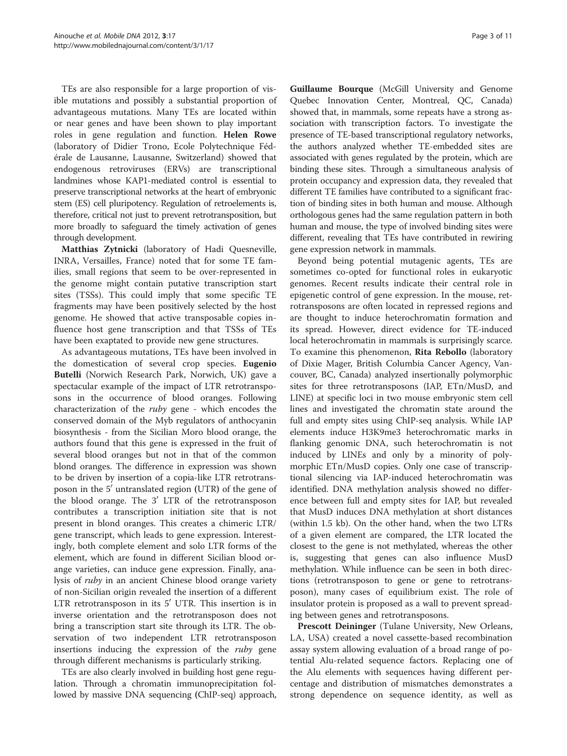TEs are also responsible for a large proportion of visible mutations and possibly a substantial proportion of advantageous mutations. Many TEs are located within or near genes and have been shown to play important roles in gene regulation and function. Helen Rowe (laboratory of Didier Trono, Ecole Polytechnique Fédérale de Lausanne, Lausanne, Switzerland) showed that endogenous retroviruses (ERVs) are transcriptional landmines whose KAP1-mediated control is essential to preserve transcriptional networks at the heart of embryonic stem (ES) cell pluripotency. Regulation of retroelements is, therefore, critical not just to prevent retrotransposition, but more broadly to safeguard the timely activation of genes through development.

Matthias Zytnicki (laboratory of Hadi Quesneville, INRA, Versailles, France) noted that for some TE families, small regions that seem to be over-represented in the genome might contain putative transcription start sites (TSSs). This could imply that some specific TE fragments may have been positively selected by the host genome. He showed that active transposable copies influence host gene transcription and that TSSs of TEs have been exaptated to provide new gene structures.

As advantageous mutations, TEs have been involved in the domestication of several crop species. Eugenio Butelli (Norwich Research Park, Norwich, UK) gave a spectacular example of the impact of LTR retrotransposons in the occurrence of blood oranges. Following characterization of the ruby gene - which encodes the conserved domain of the Myb regulators of anthocyanin biosynthesis - from the Sicilian Moro blood orange, the authors found that this gene is expressed in the fruit of several blood oranges but not in that of the common blond oranges. The difference in expression was shown to be driven by insertion of a copia-like LTR retrotransposon in the  $5'$  untranslated region (UTR) of the gene of the blood orange. The  $3'$  LTR of the retrotransposon contributes a transcription initiation site that is not present in blond oranges. This creates a chimeric LTR/ gene transcript, which leads to gene expression. Interestingly, both complete element and solo LTR forms of the element, which are found in different Sicilian blood orange varieties, can induce gene expression. Finally, analysis of ruby in an ancient Chinese blood orange variety of non-Sicilian origin revealed the insertion of a different LTR retrotransposon in its  $5'$  UTR. This insertion is in inverse orientation and the retrotransposon does not bring a transcription start site through its LTR. The observation of two independent LTR retrotransposon insertions inducing the expression of the *ruby* gene through different mechanisms is particularly striking.

TEs are also clearly involved in building host gene regulation. Through a chromatin immunoprecipitation followed by massive DNA sequencing (ChIP-seq) approach, Guillaume Bourque (McGill University and Genome Quebec Innovation Center, Montreal, QC, Canada) showed that, in mammals, some repeats have a strong association with transcription factors. To investigate the presence of TE-based transcriptional regulatory networks, the authors analyzed whether TE-embedded sites are associated with genes regulated by the protein, which are binding these sites. Through a simultaneous analysis of protein occupancy and expression data, they revealed that different TE families have contributed to a significant fraction of binding sites in both human and mouse. Although orthologous genes had the same regulation pattern in both human and mouse, the type of involved binding sites were different, revealing that TEs have contributed in rewiring gene expression network in mammals.

Beyond being potential mutagenic agents, TEs are sometimes co-opted for functional roles in eukaryotic genomes. Recent results indicate their central role in epigenetic control of gene expression. In the mouse, retrotransposons are often located in repressed regions and are thought to induce heterochromatin formation and its spread. However, direct evidence for TE-induced local heterochromatin in mammals is surprisingly scarce. To examine this phenomenon, Rita Rebollo (laboratory of Dixie Mager, British Columbia Cancer Agency, Vancouver, BC, Canada) analyzed insertionally polymorphic sites for three retrotransposons (IAP, ETn/MusD, and LINE) at specific loci in two mouse embryonic stem cell lines and investigated the chromatin state around the full and empty sites using ChIP-seq analysis. While IAP elements induce H3K9me3 heterochromatic marks in flanking genomic DNA, such heterochromatin is not induced by LINEs and only by a minority of polymorphic ETn/MusD copies. Only one case of transcriptional silencing via IAP-induced heterochromatin was identified. DNA methylation analysis showed no difference between full and empty sites for IAP, but revealed that MusD induces DNA methylation at short distances (within 1.5 kb). On the other hand, when the two LTRs of a given element are compared, the LTR located the closest to the gene is not methylated, whereas the other is, suggesting that genes can also influence MusD methylation. While influence can be seen in both directions (retrotransposon to gene or gene to retrotransposon), many cases of equilibrium exist. The role of insulator protein is proposed as a wall to prevent spreading between genes and retrotransposons.

Prescott Deininger (Tulane University, New Orleans, LA, USA) created a novel cassette-based recombination assay system allowing evaluation of a broad range of potential Alu-related sequence factors. Replacing one of the Alu elements with sequences having different percentage and distribution of mismatches demonstrates a strong dependence on sequence identity, as well as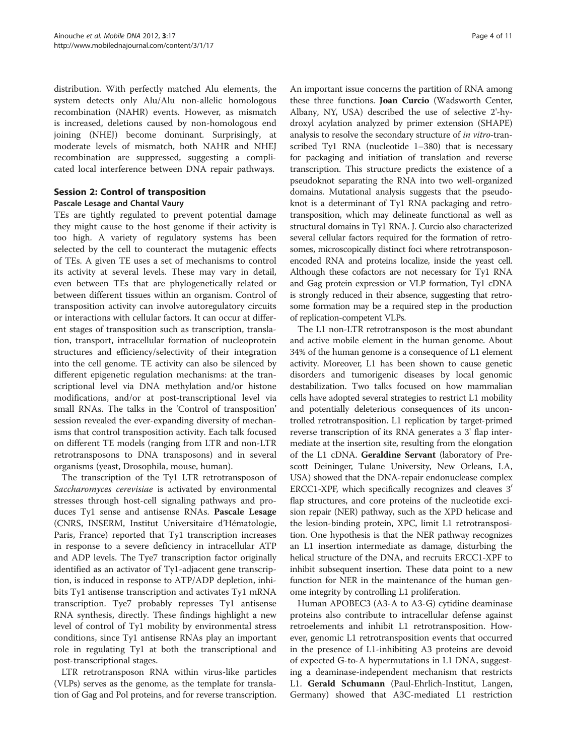distribution. With perfectly matched Alu elements, the system detects only Alu/Alu non-allelic homologous recombination (NAHR) events. However, as mismatch is increased, deletions caused by non-homologous end joining (NHEJ) become dominant. Surprisingly, at moderate levels of mismatch, both NAHR and NHEJ recombination are suppressed, suggesting a complicated local interference between DNA repair pathways.

# Session 2: Control of transposition

## Pascale Lesage and Chantal Vaury

TEs are tightly regulated to prevent potential damage they might cause to the host genome if their activity is too high. A variety of regulatory systems has been selected by the cell to counteract the mutagenic effects of TEs. A given TE uses a set of mechanisms to control its activity at several levels. These may vary in detail, even between TEs that are phylogenetically related or between different tissues within an organism. Control of transposition activity can involve autoregulatory circuits or interactions with cellular factors. It can occur at different stages of transposition such as transcription, translation, transport, intracellular formation of nucleoprotein structures and efficiency/selectivity of their integration into the cell genome. TE activity can also be silenced by different epigenetic regulation mechanisms: at the transcriptional level via DNA methylation and/or histone modifications, and/or at post-transcriptional level via small RNAs. The talks in the 'Control of transposition' session revealed the ever-expanding diversity of mechanisms that control transposition activity. Each talk focused on different TE models (ranging from LTR and non-LTR retrotransposons to DNA transposons) and in several organisms (yeast, Drosophila, mouse, human).

The transcription of the Ty1 LTR retrotransposon of Saccharomyces cerevisiae is activated by environmental stresses through host-cell signaling pathways and produces Ty1 sense and antisense RNAs. Pascale Lesage (CNRS, INSERM, Institut Universitaire d'Hématologie, Paris, France) reported that Ty1 transcription increases in response to a severe deficiency in intracellular ATP and ADP levels. The Tye7 transcription factor originally identified as an activator of Ty1-adjacent gene transcription, is induced in response to ATP/ADP depletion, inhibits Ty1 antisense transcription and activates Ty1 mRNA transcription. Tye7 probably represses Ty1 antisense RNA synthesis, directly. These findings highlight a new level of control of Ty1 mobility by environmental stress conditions, since Ty1 antisense RNAs play an important role in regulating Ty1 at both the transcriptional and post-transcriptional stages.

LTR retrotransposon RNA within virus-like particles (VLPs) serves as the genome, as the template for translation of Gag and Pol proteins, and for reverse transcription.

An important issue concerns the partition of RNA among these three functions. Joan Curcio (Wadsworth Center, Albany, NY, USA) described the use of selective 2'-hydroxyl acylation analyzed by primer extension (SHAPE) analysis to resolve the secondary structure of *in vitro-*transcribed Ty1 RNA (nucleotide 1–380) that is necessary for packaging and initiation of translation and reverse transcription. This structure predicts the existence of a pseudoknot separating the RNA into two well-organized domains. Mutational analysis suggests that the pseudoknot is a determinant of Ty1 RNA packaging and retrotransposition, which may delineate functional as well as structural domains in Ty1 RNA. J. Curcio also characterized several cellular factors required for the formation of retrosomes, microscopically distinct foci where retrotransposonencoded RNA and proteins localize, inside the yeast cell. Although these cofactors are not necessary for Ty1 RNA and Gag protein expression or VLP formation, Ty1 cDNA is strongly reduced in their absence, suggesting that retrosome formation may be a required step in the production of replication-competent VLPs.

The L1 non-LTR retrotransposon is the most abundant and active mobile element in the human genome. About 34% of the human genome is a consequence of L1 element activity. Moreover, L1 has been shown to cause genetic disorders and tumorigenic diseases by local genomic destabilization. Two talks focused on how mammalian cells have adopted several strategies to restrict L1 mobility and potentially deleterious consequences of its uncontrolled retrotransposition. L1 replication by target-primed reverse transcription of its RNA generates a 3' flap intermediate at the insertion site, resulting from the elongation of the L1 cDNA. Geraldine Servant (laboratory of Prescott Deininger, Tulane University, New Orleans, LA, USA) showed that the DNA-repair endonuclease complex ERCC1-XPF, which specifically recognizes and cleaves  $3'$ flap structures, and core proteins of the nucleotide excision repair (NER) pathway, such as the XPD helicase and the lesion-binding protein, XPC, limit L1 retrotransposition. One hypothesis is that the NER pathway recognizes an L1 insertion intermediate as damage, disturbing the helical structure of the DNA, and recruits ERCC1-XPF to inhibit subsequent insertion. These data point to a new function for NER in the maintenance of the human genome integrity by controlling L1 proliferation.

Human APOBEC3 (A3-A to A3-G) cytidine deaminase proteins also contribute to intracellular defense against retroelements and inhibit L1 retrotransposition. However, genomic L1 retrotransposition events that occurred in the presence of L1-inhibiting A3 proteins are devoid of expected G-to-A hypermutations in L1 DNA, suggesting a deaminase-independent mechanism that restricts L1. Gerald Schumann (Paul-Ehrlich-Institut, Langen, Germany) showed that A3C-mediated L1 restriction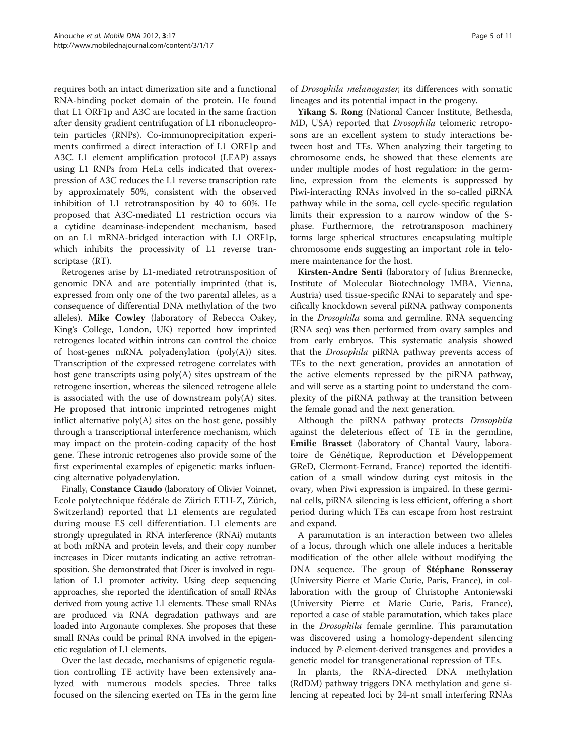requires both an intact dimerization site and a functional RNA-binding pocket domain of the protein. He found that L1 ORF1p and A3C are located in the same fraction after density gradient centrifugation of L1 ribonucleoprotein particles (RNPs). Co-immunoprecipitation experiments confirmed a direct interaction of L1 ORF1p and A3C. L1 element amplification protocol (LEAP) assays using L1 RNPs from HeLa cells indicated that overexpression of A3C reduces the L1 reverse transcription rate by approximately 50%, consistent with the observed inhibition of L1 retrotransposition by 40 to 60%. He proposed that A3C-mediated L1 restriction occurs via a cytidine deaminase-independent mechanism, based on an L1 mRNA-bridged interaction with L1 ORF1p, which inhibits the processivity of L1 reverse transcriptase (RT).

Retrogenes arise by L1-mediated retrotransposition of genomic DNA and are potentially imprinted (that is, expressed from only one of the two parental alleles, as a consequence of differential DNA methylation of the two alleles). Mike Cowley (laboratory of Rebecca Oakey, King's College, London, UK) reported how imprinted retrogenes located within introns can control the choice of host-genes mRNA polyadenylation (poly(A)) sites. Transcription of the expressed retrogene correlates with host gene transcripts using poly(A) sites upstream of the retrogene insertion, whereas the silenced retrogene allele is associated with the use of downstream poly(A) sites. He proposed that intronic imprinted retrogenes might inflict alternative poly(A) sites on the host gene, possibly through a transcriptional interference mechanism, which may impact on the protein-coding capacity of the host gene. These intronic retrogenes also provide some of the first experimental examples of epigenetic marks influencing alternative polyadenylation.

Finally, Constance Ciaudo (laboratory of Olivier Voinnet, Ecole polytechnique fédérale de Zürich ETH-Z, Zürich, Switzerland) reported that L1 elements are regulated during mouse ES cell differentiation. L1 elements are strongly upregulated in RNA interference (RNAi) mutants at both mRNA and protein levels, and their copy number increases in Dicer mutants indicating an active retrotransposition. She demonstrated that Dicer is involved in regulation of L1 promoter activity. Using deep sequencing approaches, she reported the identification of small RNAs derived from young active L1 elements. These small RNAs are produced via RNA degradation pathways and are loaded into Argonaute complexes. She proposes that these small RNAs could be primal RNA involved in the epigenetic regulation of L1 elements.

Over the last decade, mechanisms of epigenetic regulation controlling TE activity have been extensively analyzed with numerous models species. Three talks focused on the silencing exerted on TEs in the germ line

of Drosophila melanogaster, its differences with somatic lineages and its potential impact in the progeny.

Yikang S. Rong (National Cancer Institute, Bethesda, MD, USA) reported that Drosophila telomeric retroposons are an excellent system to study interactions between host and TEs. When analyzing their targeting to chromosome ends, he showed that these elements are under multiple modes of host regulation: in the germline, expression from the elements is suppressed by Piwi-interacting RNAs involved in the so-called piRNA pathway while in the soma, cell cycle-specific regulation limits their expression to a narrow window of the Sphase. Furthermore, the retrotransposon machinery forms large spherical structures encapsulating multiple chromosome ends suggesting an important role in telomere maintenance for the host.

Kirsten-Andre Senti (laboratory of Julius Brennecke, Institute of Molecular Biotechnology IMBA, Vienna, Austria) used tissue-specific RNAi to separately and specifically knockdown several piRNA pathway components in the Drosophila soma and germline. RNA sequencing (RNA seq) was then performed from ovary samples and from early embryos. This systematic analysis showed that the Drosophila piRNA pathway prevents access of TEs to the next generation, provides an annotation of the active elements repressed by the piRNA pathway, and will serve as a starting point to understand the complexity of the piRNA pathway at the transition between the female gonad and the next generation.

Although the piRNA pathway protects Drosophila against the deleterious effect of TE in the germline, Emilie Brasset (laboratory of Chantal Vaury, laboratoire de Génétique, Reproduction et Développement GReD, Clermont-Ferrand, France) reported the identification of a small window during cyst mitosis in the ovary, when Piwi expression is impaired. In these germinal cells, piRNA silencing is less efficient, offering a short period during which TEs can escape from host restraint and expand.

A paramutation is an interaction between two alleles of a locus, through which one allele induces a heritable modification of the other allele without modifying the DNA sequence. The group of Stéphane Ronsseray (University Pierre et Marie Curie, Paris, France), in collaboration with the group of Christophe Antoniewski (University Pierre et Marie Curie, Paris, France), reported a case of stable paramutation, which takes place in the Drosophila female germline. This paramutation was discovered using a homology-dependent silencing induced by P-element-derived transgenes and provides a genetic model for transgenerational repression of TEs.

In plants, the RNA-directed DNA methylation (RdDM) pathway triggers DNA methylation and gene silencing at repeated loci by 24-nt small interfering RNAs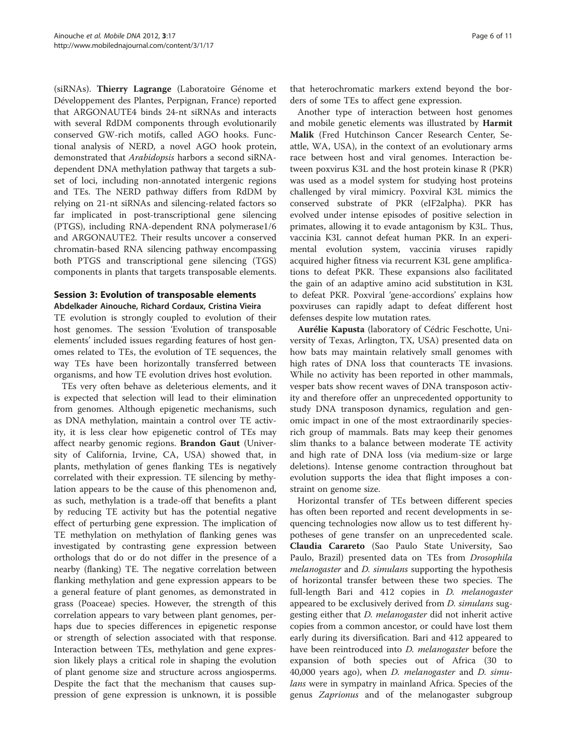(siRNAs). Thierry Lagrange (Laboratoire Génome et Développement des Plantes, Perpignan, France) reported that ARGONAUTE4 binds 24-nt siRNAs and interacts with several RdDM components through evolutionarily conserved GW-rich motifs, called AGO hooks. Functional analysis of NERD, a novel AGO hook protein, demonstrated that Arabidopsis harbors a second siRNAdependent DNA methylation pathway that targets a subset of loci, including non-annotated intergenic regions and TEs. The NERD pathway differs from RdDM by relying on 21-nt siRNAs and silencing-related factors so far implicated in post-transcriptional gene silencing (PTGS), including RNA-dependent RNA polymerase1/6 and ARGONAUTE2. Their results uncover a conserved chromatin-based RNA silencing pathway encompassing both PTGS and transcriptional gene silencing (TGS) components in plants that targets transposable elements.

# Session 3: Evolution of transposable elements Abdelkader Ainouche, Richard Cordaux, Cristina Vieira

TE evolution is strongly coupled to evolution of their host genomes. The session 'Evolution of transposable elements' included issues regarding features of host genomes related to TEs, the evolution of TE sequences, the way TEs have been horizontally transferred between organisms, and how TE evolution drives host evolution.

TEs very often behave as deleterious elements, and it is expected that selection will lead to their elimination from genomes. Although epigenetic mechanisms, such as DNA methylation, maintain a control over TE activity, it is less clear how epigenetic control of TEs may affect nearby genomic regions. Brandon Gaut (University of California, Irvine, CA, USA) showed that, in plants, methylation of genes flanking TEs is negatively correlated with their expression. TE silencing by methylation appears to be the cause of this phenomenon and, as such, methylation is a trade-off that benefits a plant by reducing TE activity but has the potential negative effect of perturbing gene expression. The implication of TE methylation on methylation of flanking genes was investigated by contrasting gene expression between orthologs that do or do not differ in the presence of a nearby (flanking) TE. The negative correlation between flanking methylation and gene expression appears to be a general feature of plant genomes, as demonstrated in grass (Poaceae) species. However, the strength of this correlation appears to vary between plant genomes, perhaps due to species differences in epigenetic response or strength of selection associated with that response. Interaction between TEs, methylation and gene expression likely plays a critical role in shaping the evolution of plant genome size and structure across angiosperms. Despite the fact that the mechanism that causes suppression of gene expression is unknown, it is possible

that heterochromatic markers extend beyond the borders of some TEs to affect gene expression.

Another type of interaction between host genomes and mobile genetic elements was illustrated by Harmit Malik (Fred Hutchinson Cancer Research Center, Seattle, WA, USA), in the context of an evolutionary arms race between host and viral genomes. Interaction between poxvirus K3L and the host protein kinase R (PKR) was used as a model system for studying host proteins challenged by viral mimicry. Poxviral K3L mimics the conserved substrate of PKR (eIF2alpha). PKR has evolved under intense episodes of positive selection in primates, allowing it to evade antagonism by K3L. Thus, vaccinia K3L cannot defeat human PKR. In an experimental evolution system, vaccinia viruses rapidly acquired higher fitness via recurrent K3L gene amplifications to defeat PKR. These expansions also facilitated the gain of an adaptive amino acid substitution in K3L to defeat PKR. Poxviral 'gene-accordions' explains how poxviruses can rapidly adapt to defeat different host defenses despite low mutation rates.

Aurélie Kapusta (laboratory of Cédric Feschotte, University of Texas, Arlington, TX, USA) presented data on how bats may maintain relatively small genomes with high rates of DNA loss that counteracts TE invasions. While no activity has been reported in other mammals, vesper bats show recent waves of DNA transposon activity and therefore offer an unprecedented opportunity to study DNA transposon dynamics, regulation and genomic impact in one of the most extraordinarily speciesrich group of mammals. Bats may keep their genomes slim thanks to a balance between moderate TE activity and high rate of DNA loss (via medium-size or large deletions). Intense genome contraction throughout bat evolution supports the idea that flight imposes a constraint on genome size.

Horizontal transfer of TEs between different species has often been reported and recent developments in sequencing technologies now allow us to test different hypotheses of gene transfer on an unprecedented scale. Claudia Carareto (Sao Paulo State University, Sao Paulo, Brazil) presented data on TEs from *Drosophila* melanogaster and D. simulans supporting the hypothesis of horizontal transfer between these two species. The full-length Bari and 412 copies in *D. melanogaster* appeared to be exclusively derived from *D. simulans* suggesting either that *D. melanogaster* did not inherit active copies from a common ancestor, or could have lost them early during its diversification. Bari and 412 appeared to have been reintroduced into *D. melanogaster* before the expansion of both species out of Africa (30 to 40,000 years ago), when *D. melanogaster* and *D. simu*lans were in sympatry in mainland Africa. Species of the genus Zaprionus and of the melanogaster subgroup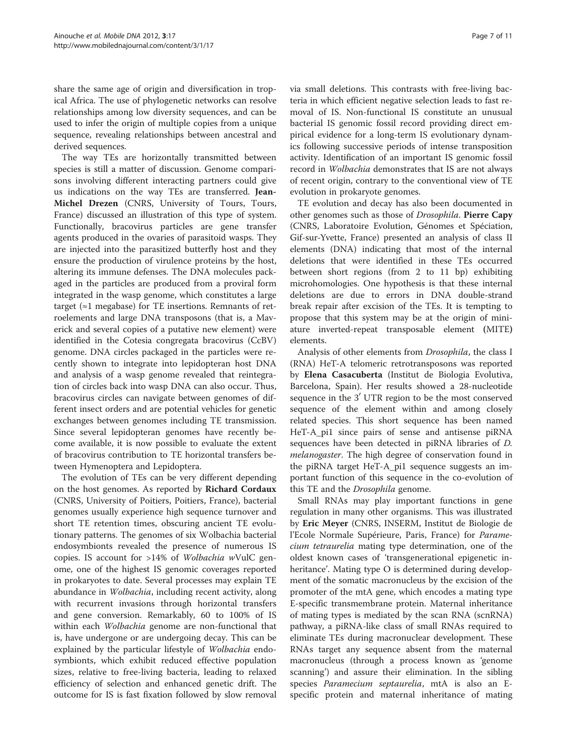share the same age of origin and diversification in tropical Africa. The use of phylogenetic networks can resolve relationships among low diversity sequences, and can be used to infer the origin of multiple copies from a unique sequence, revealing relationships between ancestral and derived sequences.

The way TEs are horizontally transmitted between species is still a matter of discussion. Genome comparisons involving different interacting partners could give us indications on the way TEs are transferred. Jean-Michel Drezen (CNRS, University of Tours, Tours, France) discussed an illustration of this type of system. Functionally, bracovirus particles are gene transfer agents produced in the ovaries of parasitoid wasps. They are injected into the parasitized butterfly host and they ensure the production of virulence proteins by the host, altering its immune defenses. The DNA molecules packaged in the particles are produced from a proviral form integrated in the wasp genome, which constitutes a large target ( $\approx$ 1 megabase) for TE insertions. Remnants of retroelements and large DNA transposons (that is, a Maverick and several copies of a putative new element) were identified in the Cotesia congregata bracovirus (CcBV) genome. DNA circles packaged in the particles were recently shown to integrate into lepidopteran host DNA and analysis of a wasp genome revealed that reintegration of circles back into wasp DNA can also occur. Thus, bracovirus circles can navigate between genomes of different insect orders and are potential vehicles for genetic exchanges between genomes including TE transmission. Since several lepidopteran genomes have recently become available, it is now possible to evaluate the extent of bracovirus contribution to TE horizontal transfers between Hymenoptera and Lepidoptera.

The evolution of TEs can be very different depending on the host genomes. As reported by Richard Cordaux (CNRS, University of Poitiers, Poitiers, France), bacterial genomes usually experience high sequence turnover and short TE retention times, obscuring ancient TE evolutionary patterns. The genomes of six Wolbachia bacterial endosymbionts revealed the presence of numerous IS copies. IS account for >14% of Wolbachia wVulC genome, one of the highest IS genomic coverages reported in prokaryotes to date. Several processes may explain TE abundance in Wolbachia, including recent activity, along with recurrent invasions through horizontal transfers and gene conversion. Remarkably, 60 to 100% of IS within each *Wolbachia* genome are non-functional that is, have undergone or are undergoing decay. This can be explained by the particular lifestyle of *Wolbachia* endosymbionts, which exhibit reduced effective population sizes, relative to free-living bacteria, leading to relaxed efficiency of selection and enhanced genetic drift. The outcome for IS is fast fixation followed by slow removal via small deletions. This contrasts with free-living bacteria in which efficient negative selection leads to fast removal of IS. Non-functional IS constitute an unusual bacterial IS genomic fossil record providing direct empirical evidence for a long-term IS evolutionary dynamics following successive periods of intense transposition activity. Identification of an important IS genomic fossil record in Wolbachia demonstrates that IS are not always of recent origin, contrary to the conventional view of TE evolution in prokaryote genomes.

TE evolution and decay has also been documented in other genomes such as those of Drosophila. Pierre Capy (CNRS, Laboratoire Evolution, Génomes et Spéciation, Gif-sur-Yvette, France) presented an analysis of class II elements (DNA) indicating that most of the internal deletions that were identified in these TEs occurred between short regions (from 2 to 11 bp) exhibiting microhomologies. One hypothesis is that these internal deletions are due to errors in DNA double-strand break repair after excision of the TEs. It is tempting to propose that this system may be at the origin of miniature inverted-repeat transposable element (MITE) elements.

Analysis of other elements from Drosophila, the class I (RNA) HeT-A telomeric retrotransposons was reported by Elena Casacuberta (Institut de Biologia Evolutiva, Barcelona, Spain). Her results showed a 28-nucleotide sequence in the  $3'$  UTR region to be the most conserved sequence of the element within and among closely related species. This short sequence has been named HeT-A\_pi1 since pairs of sense and antisense piRNA sequences have been detected in piRNA libraries of D. melanogaster. The high degree of conservation found in the piRNA target HeT-A\_pi1 sequence suggests an important function of this sequence in the co-evolution of this TE and the Drosophila genome.

Small RNAs may play important functions in gene regulation in many other organisms. This was illustrated by Eric Meyer (CNRS, INSERM, Institut de Biologie de l'Ecole Normale Supérieure, Paris, France) for Paramecium tetraurelia mating type determination, one of the oldest known cases of 'transgenerational epigenetic inheritance'. Mating type O is determined during development of the somatic macronucleus by the excision of the promoter of the mtA gene, which encodes a mating type E-specific transmembrane protein. Maternal inheritance of mating types is mediated by the scan RNA (scnRNA) pathway, a piRNA-like class of small RNAs required to eliminate TEs during macronuclear development. These RNAs target any sequence absent from the maternal macronucleus (through a process known as 'genome scanning') and assure their elimination. In the sibling species Paramecium septaurelia, mtA is also an Especific protein and maternal inheritance of mating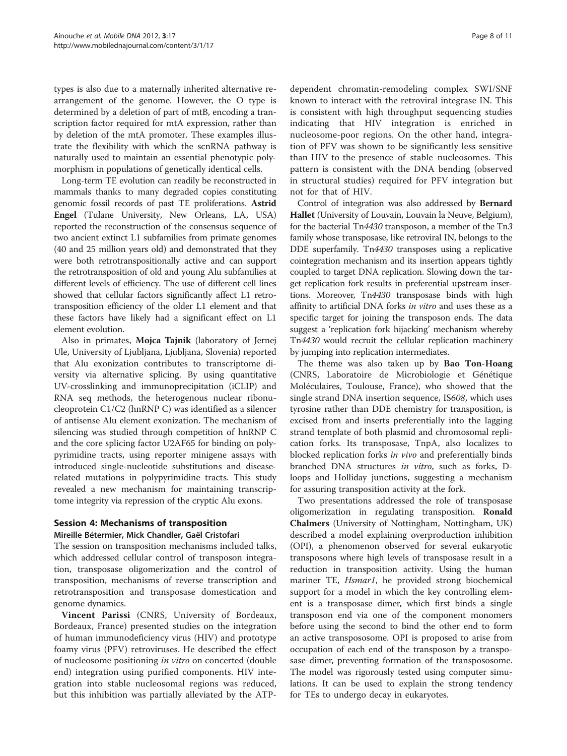types is also due to a maternally inherited alternative rearrangement of the genome. However, the O type is determined by a deletion of part of mtB, encoding a transcription factor required for mtA expression, rather than by deletion of the mtA promoter. These examples illustrate the flexibility with which the scnRNA pathway is naturally used to maintain an essential phenotypic polymorphism in populations of genetically identical cells.

Long-term TE evolution can readily be reconstructed in mammals thanks to many degraded copies constituting genomic fossil records of past TE proliferations. Astrid Engel (Tulane University, New Orleans, LA, USA) reported the reconstruction of the consensus sequence of two ancient extinct L1 subfamilies from primate genomes (40 and 25 million years old) and demonstrated that they were both retrotranspositionally active and can support the retrotransposition of old and young Alu subfamilies at different levels of efficiency. The use of different cell lines showed that cellular factors significantly affect L1 retrotransposition efficiency of the older L1 element and that these factors have likely had a significant effect on L1 element evolution.

Also in primates, Mojca Tajnik (laboratory of Jernej Ule, University of Ljubljana, Ljubljana, Slovenia) reported that Alu exonization contributes to transcriptome diversity via alternative splicing. By using quantitative UV-crosslinking and immunoprecipitation (iCLIP) and RNA seq methods, the heterogenous nuclear ribonucleoprotein C1/C2 (hnRNP C) was identified as a silencer of antisense Alu element exonization. The mechanism of silencing was studied through competition of hnRNP C and the core splicing factor U2AF65 for binding on polypyrimidine tracts, using reporter minigene assays with introduced single-nucleotide substitutions and diseaserelated mutations in polypyrimidine tracts. This study revealed a new mechanism for maintaining transcriptome integrity via repression of the cryptic Alu exons.

## Session 4: Mechanisms of transposition

## Mireille Bétermier, Mick Chandler, Gaël Cristofari

The session on transposition mechanisms included talks, which addressed cellular control of transposon integration, transposase oligomerization and the control of transposition, mechanisms of reverse transcription and retrotransposition and transposase domestication and genome dynamics.

Vincent Parissi (CNRS, University of Bordeaux, Bordeaux, France) presented studies on the integration of human immunodeficiency virus (HIV) and prototype foamy virus (PFV) retroviruses. He described the effect of nucleosome positioning in vitro on concerted (double end) integration using purified components. HIV integration into stable nucleosomal regions was reduced, but this inhibition was partially alleviated by the ATP-

dependent chromatin-remodeling complex SWI/SNF known to interact with the retroviral integrase IN. This is consistent with high throughput sequencing studies indicating that HIV integration is enriched in nucleosome-poor regions. On the other hand, integration of PFV was shown to be significantly less sensitive than HIV to the presence of stable nucleosomes. This pattern is consistent with the DNA bending (observed in structural studies) required for PFV integration but not for that of HIV.

Control of integration was also addressed by Bernard Hallet (University of Louvain, Louvain la Neuve, Belgium), for the bacterial Tn4430 transposon, a member of the Tn3 family whose transposase, like retroviral IN, belongs to the DDE superfamily. Tn4430 transposes using a replicative cointegration mechanism and its insertion appears tightly coupled to target DNA replication. Slowing down the target replication fork results in preferential upstream insertions. Moreover, Tn4430 transposase binds with high affinity to artificial DNA forks in vitro and uses these as a specific target for joining the transposon ends. The data suggest a 'replication fork hijacking' mechanism whereby Tn4430 would recruit the cellular replication machinery by jumping into replication intermediates.

The theme was also taken up by Bao Ton-Hoang (CNRS, Laboratoire de Microbiologie et Génétique Moléculaires, Toulouse, France), who showed that the single strand DNA insertion sequence, IS608, which uses tyrosine rather than DDE chemistry for transposition, is excised from and inserts preferentially into the lagging strand template of both plasmid and chromosomal replication forks. Its transposase, TnpA, also localizes to blocked replication forks in vivo and preferentially binds branched DNA structures in vitro, such as forks, Dloops and Holliday junctions, suggesting a mechanism for assuring transposition activity at the fork.

Two presentations addressed the role of transposase oligomerization in regulating transposition. Ronald Chalmers (University of Nottingham, Nottingham, UK) described a model explaining overproduction inhibition (OPI), a phenomenon observed for several eukaryotic transposons where high levels of transposase result in a reduction in transposition activity. Using the human mariner TE, *Hsmar1*, he provided strong biochemical support for a model in which the key controlling element is a transposase dimer, which first binds a single transposon end via one of the component monomers before using the second to bind the other end to form an active transpososome. OPI is proposed to arise from occupation of each end of the transposon by a transposase dimer, preventing formation of the transpososome. The model was rigorously tested using computer simulations. It can be used to explain the strong tendency for TEs to undergo decay in eukaryotes.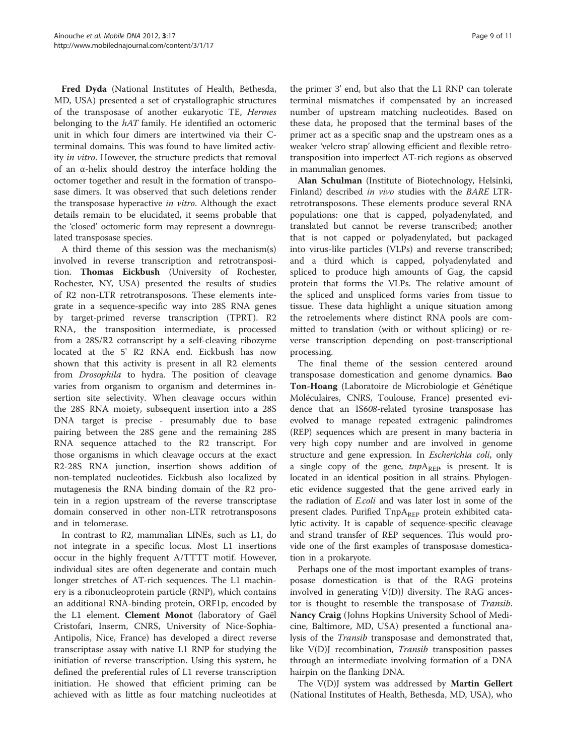Fred Dyda (National Institutes of Health, Bethesda, MD, USA) presented a set of crystallographic structures of the transposase of another eukaryotic TE, Hermes belonging to the hAT family. He identified an octomeric unit in which four dimers are intertwined via their Cterminal domains. This was found to have limited activity in vitro. However, the structure predicts that removal of an α-helix should destroy the interface holding the octomer together and result in the formation of transposase dimers. It was observed that such deletions render the transposase hyperactive in vitro. Although the exact details remain to be elucidated, it seems probable that the 'closed' octomeric form may represent a downregulated transposase species.

A third theme of this session was the mechanism(s) involved in reverse transcription and retrotransposition. Thomas Eickbush (University of Rochester, Rochester, NY, USA) presented the results of studies of R2 non-LTR retrotransposons. These elements integrate in a sequence-specific way into 28S RNA genes by target-primed reverse transcription (TPRT). R2 RNA, the transposition intermediate, is processed from a 28S/R2 cotranscript by a self-cleaving ribozyme located at the 5' R2 RNA end. Eickbush has now shown that this activity is present in all R2 elements from Drosophila to hydra. The position of cleavage varies from organism to organism and determines insertion site selectivity. When cleavage occurs within the 28S RNA moiety, subsequent insertion into a 28S DNA target is precise - presumably due to base pairing between the 28S gene and the remaining 28S RNA sequence attached to the R2 transcript. For those organisms in which cleavage occurs at the exact R2-28S RNA junction, insertion shows addition of non-templated nucleotides. Eickbush also localized by mutagenesis the RNA binding domain of the R2 protein in a region upstream of the reverse transcriptase domain conserved in other non-LTR retrotransposons and in telomerase.

In contrast to R2, mammalian LINEs, such as L1, do not integrate in a specific locus. Most L1 insertions occur in the highly frequent A/TTTT motif. However, individual sites are often degenerate and contain much longer stretches of AT-rich sequences. The L1 machinery is a ribonucleoprotein particle (RNP), which contains an additional RNA-binding protein, ORF1p, encoded by the L1 element. Clement Monot (laboratory of Gaël Cristofari, Inserm, CNRS, University of Nice-Sophia-Antipolis, Nice, France) has developed a direct reverse transcriptase assay with native L1 RNP for studying the initiation of reverse transcription. Using this system, he defined the preferential rules of L1 reverse transcription initiation. He showed that efficient priming can be achieved with as little as four matching nucleotides at the primer 3' end, but also that the L1 RNP can tolerate terminal mismatches if compensated by an increased number of upstream matching nucleotides. Based on these data, he proposed that the terminal bases of the primer act as a specific snap and the upstream ones as a weaker 'velcro strap' allowing efficient and flexible retrotransposition into imperfect AT-rich regions as observed in mammalian genomes.

Alan Schulman (Institute of Biotechnology, Helsinki, Finland) described in vivo studies with the BARE LTRretrotransposons. These elements produce several RNA populations: one that is capped, polyadenylated, and translated but cannot be reverse transcribed; another that is not capped or polyadenylated, but packaged into virus-like particles (VLPs) and reverse transcribed; and a third which is capped, polyadenylated and spliced to produce high amounts of Gag, the capsid protein that forms the VLPs. The relative amount of the spliced and unspliced forms varies from tissue to tissue. These data highlight a unique situation among the retroelements where distinct RNA pools are committed to translation (with or without splicing) or reverse transcription depending on post-transcriptional processing.

The final theme of the session centered around transposase domestication and genome dynamics. Bao Ton-Hoang (Laboratoire de Microbiologie et Génétique Moléculaires, CNRS, Toulouse, France) presented evidence that an IS608-related tyrosine transposase has evolved to manage repeated extragenic palindromes (REP) sequences which are present in many bacteria in very high copy number and are involved in genome structure and gene expression. In Escherichia coli, only a single copy of the gene,  $tmpA_{RED}$  is present. It is located in an identical position in all strains. Phylogenetic evidence suggested that the gene arrived early in the radiation of E.coli and was later lost in some of the present clades. Purified  $TnpA_{REP}$  protein exhibited catalytic activity. It is capable of sequence-specific cleavage and strand transfer of REP sequences. This would provide one of the first examples of transposase domestication in a prokaryote.

Perhaps one of the most important examples of transposase domestication is that of the RAG proteins involved in generating V(D)J diversity. The RAG ancestor is thought to resemble the transposase of *Transib*. Nancy Craig (Johns Hopkins University School of Medicine, Baltimore, MD, USA) presented a functional analysis of the Transib transposase and demonstrated that, like  $V(D)$ J recombination, *Transib* transposition passes through an intermediate involving formation of a DNA hairpin on the flanking DNA.

The V(D)J system was addressed by Martin Gellert (National Institutes of Health, Bethesda, MD, USA), who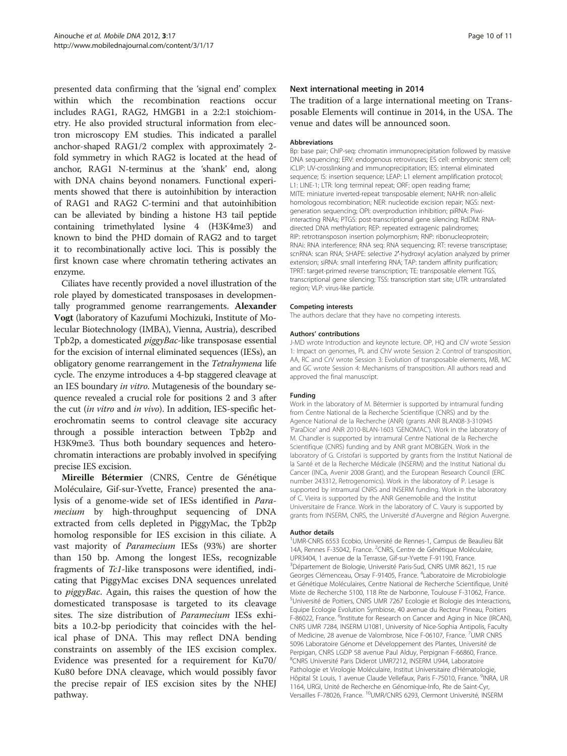presented data confirming that the 'signal end' complex within which the recombination reactions occur includes RAG1, RAG2, HMGB1 in a 2:2:1 stoichiometry. He also provided structural information from electron microscopy EM studies. This indicated a parallel anchor-shaped RAG1/2 complex with approximately 2 fold symmetry in which RAG2 is located at the head of anchor, RAG1 N-terminus at the 'shank' end, along with DNA chains beyond nonamers. Functional experiments showed that there is autoinhibition by interaction of RAG1 and RAG2 C-termini and that autoinhibition can be alleviated by binding a histone H3 tail peptide containing trimethylated lysine 4 (H3K4me3) and known to bind the PHD domain of RAG2 and to target it to recombinationally active loci. This is possibly the first known case where chromatin tethering activates an enzyme.

Ciliates have recently provided a novel illustration of the role played by domesticated transposases in developmentally programmed genome rearrangements. Alexander Vogt (laboratory of Kazufumi Mochizuki, Institute of Molecular Biotechnology (IMBA), Vienna, Austria), described Tpb2p, a domesticated *piggyBac*-like transposase essential for the excision of internal eliminated sequences (IESs), an obligatory genome rearrangement in the Tetrahymena life cycle. The enzyme introduces a 4-bp staggered cleavage at an IES boundary in vitro. Mutagenesis of the boundary sequence revealed a crucial role for positions 2 and 3 after the cut (in vitro and in vivo). In addition, IES-specific heterochromatin seems to control cleavage site accuracy through a possible interaction between Tpb2p and H3K9me3. Thus both boundary sequences and heterochromatin interactions are probably involved in specifying precise IES excision.

Mireille Bétermier (CNRS, Centre de Génétique Moléculaire, Gif-sur-Yvette, France) presented the analysis of a genome-wide set of IESs identified in Paramecium by high-throughput sequencing of DNA extracted from cells depleted in PiggyMac, the Tpb2p homolog responsible for IES excision in this ciliate. A vast majority of Paramecium IESs (93%) are shorter than 150 bp. Among the longest IESs, recognizable fragments of Tc1-like transposons were identified, indicating that PiggyMac excises DNA sequences unrelated to piggyBac. Again, this raises the question of how the domesticated transposase is targeted to its cleavage sites. The size distribution of Paramecium IESs exhibits a 10.2-bp periodicity that coincides with the helical phase of DNA. This may reflect DNA bending constraints on assembly of the IES excision complex. Evidence was presented for a requirement for Ku70/ Ku80 before DNA cleavage, which would possibly favor the precise repair of IES excision sites by the NHEJ pathway.

#### Next international meeting in 2014

The tradition of a large international meeting on Transposable Elements will continue in 2014, in the USA. The venue and dates will be announced soon.

#### **Abbreviations**

Bp: base pair; ChIP-seq: chromatin immunoprecipitation followed by massive DNA sequencing; ERV: endogenous retroviruses; ES cell: embryonic stem cell; iCLIP: UV-crosslinking and immunoprecipitation; IES: internal eliminated sequence; IS: insertion sequence; LEAP: L1 element amplification protocol; L1: LINE-1; LTR: long terminal repeat; ORF: open reading frame; MITE: miniature inverted-repeat transposable element; NAHR: non-allelic homologous recombination; NER: nucleotide excision repair; NGS: nextgeneration sequencing; OPI: overproduction inhibition; piRNA: Piwiinteracting RNAs; PTGS: post-transcriptional gene silencing; RdDM: RNAdirected DNA methylation; REP: repeated extragenic palindromes; RIP: retrotransposon insertion polymorphism; RNP: ribonucleoprotein; RNAi: RNA interference; RNA seq: RNA sequencing; RT: reverse transcriptase; scnRNA: scan RNA; SHAPE: selective 2′-hydroxyl acylation analyzed by primer extension; siRNA: small interfering RNA; TAP: tandem affinity purification; TPRT: target-primed reverse transcription; TE: transposable element TGS, transcriptional gene silencing; TSS: transcription start site; UTR: untranslated region; VLP: virus-like particle.

#### Competing interests

The authors declare that they have no competing interests.

#### Authors' contributions

J-MD wrote Introduction and keynote lecture. OP, HQ and ClV wrote Session 1: Impact on genomes, PL and ChV wrote Session 2: Control of transposition, AA, RC and CrV wrote Session 3: Evolution of transposable elements, MB, MC and GC wrote Session 4: Mechanisms of transposition. All authors read and approved the final manuscript.

#### Funding

Work in the laboratory of M. Bétermier is supported by intramural funding from Centre National de la Recherche Scientifique (CNRS) and by the Agence National de la Recherche (ANR) (grants ANR BLAN08-3-310945 'ParaDice' and ANR 2010-BLAN-1603 'GENOMAC'). Work in the laboratory of M. Chandler is supported by intramural Centre National de la Recherche Scientifique (CNRS) funding and by ANR grant MOBIGEN. Work in the laboratory of G. Cristofari is supported by grants from the Institut National de la Santé et de la Recherche Médicale (INSERM) and the Institut National du Cancer (INCa, Avenir 2008 Grant), and the European Research Council (ERC number 243312, Retrogenomics). Work in the laboratory of P. Lesage is supported by intramural CNRS and INSERM funding. Work in the laboratory of C. Vieira is supported by the ANR Genemobile and the Institut Universitaire de France. Work in the laboratory of C. Vaury is supported by grants from INSERM, CNRS, the Université d'Auvergne and Région Auvergne.

#### Author details

<sup>1</sup>UMR-CNRS 6553 Ecobio, Université de Rennes-1, Campus de Beaulieu Bât 14A, Rennes F-35042, France. <sup>2</sup>CNRS, Centre de Génétique Moléculaire, UPR3404, 1 avenue de la Terrasse, Gif-sur-Yvette F-91190, France. <sup>3</sup>Département de Biologie, Université Paris-Sud, CNRS UMR 8621, 15 rue Georges Clémenceau, Orsay F-91405, France. <sup>4</sup>Laboratoire de Microbiologie et Génétique Moléculaires, Centre National de Recherche Scientifique, Unité Mixte de Recherche 5100, 118 Rte de Narbonne, Toulouse F-31062, France. 5 Université de Poitiers, CNRS UMR 7267 Ecologie et Biologie des Interactions, Equipe Ecologie Evolution Symbiose, 40 avenue du Recteur Pineau, Poitiers F-86022, France. <sup>6</sup>Institute for Research on Cancer and Aging in Nice (IRCAN), CNRS UMR 7284, INSERM U1081, University of Nice-Sophia Antipolis, Faculty of Medicine, 28 avenue de Valombrose, Nice F-06107, France. <sup>7</sup>UMR CNRS 5096 Laboratoire Génome et Développement des Plantes, Université de Perpigan, CNRS LGDP 58 avenue Paul Alduy, Perpignan F-66860, France. 8 CNRS Université Paris Diderot UMR7212, INSERM U944, Laboratoire Pathologie et Virologie Moléculaire, Institut Universitaire d'Hématologie, Hôpital St Louis, 1 avenue Claude Vellefaux, Paris F-75010, France. <sup>9</sup>INRA, UR 1164, URGI, Unité de Recherche en Génomique-Info, Rte de Saint-Cyr, Versailles F-78026, France. 10UMR/CNRS 6293, Clermont Université, INSERM